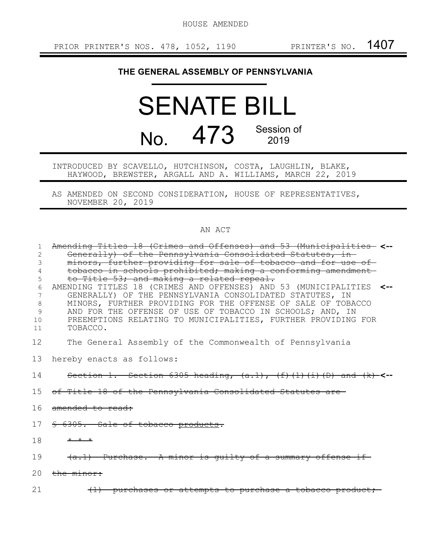HOUSE AMENDED

## **THE GENERAL ASSEMBLY OF PENNSYLVANIA**

## SENATE BILL No. 473 Session of 2019

INTRODUCED BY SCAVELLO, HUTCHINSON, COSTA, LAUGHLIN, BLAKE, HAYWOOD, BREWSTER, ARGALL AND A. WILLIAMS, MARCH 22, 2019

AS AMENDED ON SECOND CONSIDERATION, HOUSE OF REPRESENTATIVES, NOVEMBER 20, 2019

## AN ACT

| 1  | Amending Titles 18 (Crimes and Offenses) and 53 (Municipalities- <--            |  |
|----|---------------------------------------------------------------------------------|--|
| 2  | Generally) of the Pennsylvania Consolidated Statutes, in-                       |  |
| 3  | minors, further providing for sale of tobacco and for use of-                   |  |
|    | tobacco in schools prohibited; making a conforming amendment                    |  |
| 5  | to Title 53; and making a related repeal.                                       |  |
| 6  | AMENDING TITLES 18 (CRIMES AND OFFENSES) AND 53 (MUNICIPALITIES <--             |  |
| 7  | GENERALLY) OF THE PENNSYLVANIA CONSOLIDATED STATUTES, IN                        |  |
| 8  | MINORS, FURTHER PROVIDING FOR THE OFFENSE OF SALE OF TOBACCO                    |  |
| 9  | AND FOR THE OFFENSE OF USE OF TOBACCO IN SCHOOLS; AND, IN                       |  |
| 10 | PREEMPTIONS RELATING TO MUNICIPALITIES, FURTHER PROVIDING FOR                   |  |
| 11 | TOBACCO.                                                                        |  |
| 12 | The General Assembly of the Commonwealth of Pennsylvania                        |  |
|    | 13 hereby enacts as follows:                                                    |  |
| 14 | Section 1. Section 6305 heading, $(a.1)$ , $(f)$ $(1)$ $(i)$ $(D)$ and $(k)$ <- |  |
|    | 15 of Title 18 of the Pennsylvania Consolidated Statutes are-                   |  |
| 16 | amended to read:                                                                |  |
| 17 | § 6305. Sale of tobacco products.                                               |  |
| 18 | $+$ $+$ $+$                                                                     |  |
| 19 | $(a.1)$ Purchase. A minor is quilty of a summary offense if                     |  |
| 20 | the minor:                                                                      |  |
| 21 | (1) purchases or attempts to purchase a tobacco product;                        |  |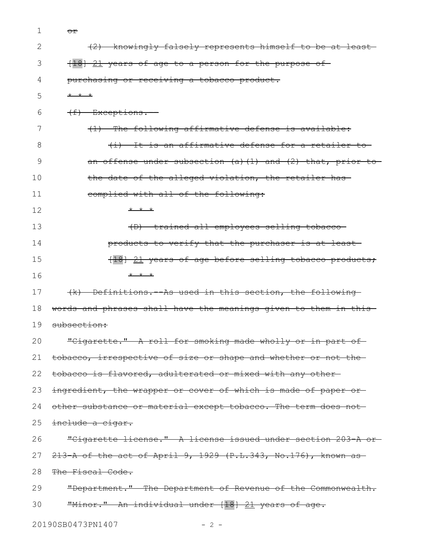1 <del>or</del>

| $\mathbf{2}$ | (2) knowingly falsely represents himself to be at least-         |
|--------------|------------------------------------------------------------------|
| 3            | [18] 21 years of age to a person for the purpose of              |
| 4            | purchasing or receiving a tobacco product.                       |
| 5            | * * *                                                            |
| 6            | (f) Exceptions.                                                  |
| 7            | (1) The following affirmative defense is available:              |
| 8            | (i) It is an affirmative defense for a retailer to               |
| 9            | an offense under subsection $(a)$ $(1)$ and $(2)$ that, prior to |
| 10           | the date of the alleged violation, the retailer has-             |
| 11           | complied with all of the following:                              |
| 12           | $+$ $+$ $+$                                                      |
| 13           | (D) trained all employees selling tobacco-                       |
| 14           | products to verify that the purchaser is at least-               |
| 15           | [18] 21 years of age before selling tobacco products,            |
| 16           | $+$ $+$ $+$                                                      |
| 17           | (k) Definitions. As used in this section, the following          |
| 18           | words and phrases shall have the meanings given to them in this- |
| 19           | subsection:                                                      |
| 20           | "Cigarette." A roll for smoking made wholly or in part of-       |
| 21           | tobacco, irrespective of size or shape and whether or not the-   |
| 22           | tobacco is flavored, adulterated or mixed with any other-        |
| 23           | ingredient, the wrapper or cover of which is made of paper or    |
| 24           | other substance or material except tobacco. The term does not    |
| 25           | include a cigar.                                                 |
| 26           | "Cigarette license." A license issued under section 203 A or-    |
| 27           | $213$ A of the act of April 9, 1929 (P.L.343, No.176), known as  |
| 28           | The Fiscal Code.                                                 |
| 29           | "Department." The Department of Revenue of the Commonwealth.     |
| 30           | "Minor." An individual under [18] 21 years of age.               |
|              | 20190SB0473PN1407<br>$-2 -$                                      |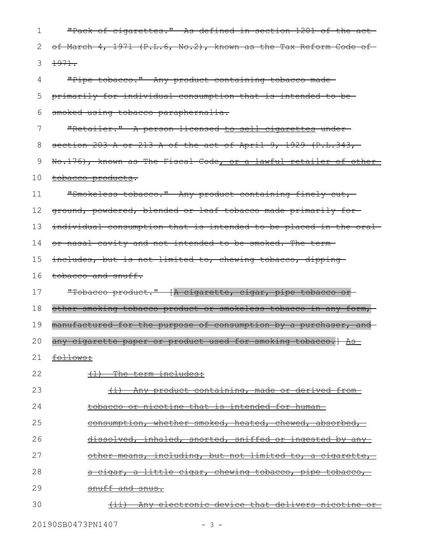| 1  | "Pack of cigarettes." As defined in section 1201 of the act-     |
|----|------------------------------------------------------------------|
| 2  | of March 4, 1971 (P.L.6, No.2), known as the Tax Reform Code of  |
| 3  | 1971.                                                            |
| 4  | "Pipe tobacco." Any product containing tobacco made-             |
| 5  | primarily for individual consumption that is intended to be-     |
| 6  | smoked using tobacco paraphernalia.                              |
| 7  | "Retailer." A person licensed to sell cigarettes under-          |
| 8  | section 203 A or 213 A of the act of April 9, 1929 (P.L.343,     |
| 9  | No.176), known as The Fiscal Code, or a lawful retailer of other |
| 10 | tobacco products.                                                |
| 11 | "Smokeless tobacco." Any product containing finely cut,-         |
| 12 | ground, powdered, blended or leaf tobacco made primarily for-    |
| 13 | individual consumption that is intended to be placed in the oral |
| 14 | or nasal cavity and not intended to be smoked. The term-         |
| 15 | includes, but is not limited to, chewing tobacco, dipping-       |
|    |                                                                  |
| 16 | tobacco and snuff.                                               |
| 17 | "Tobacco product." [A cigarette, cigar, pipe tobacco or          |
| 18 | other smoking tobacco product or smokeless tobacco in any form,  |
| 19 | manufactured for the purpose of consumption by a purchaser, and  |
| 20 | any cigarette paper or product used for smoking tobacco.] As     |
| 21 | follows:                                                         |
| 22 | (1) The term includes:                                           |
| 23 | (i) Any product containing, made or derived from-                |
| 24 | tobacco or nicotine that is intended for human-                  |
| 25 | <u>consumption, whether smoked, heated, chewed, absorbed, </u>   |
| 26 | dissolved, inhaled, snorted, sniffed or ingested by any-         |
| 27 | other means, including, but not limited to, a cigarette,         |
| 28 | <u>a cigar, a little cigar, chewing tobacco, pipe tobacco, </u>  |
| 29 | snuff and snus.                                                  |

20190SB0473PN1407 - 3 -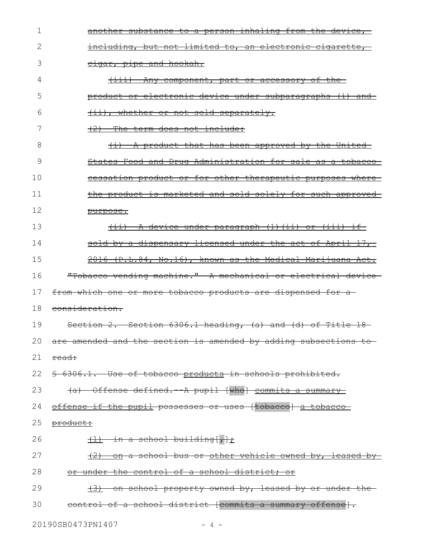| 1  | another substance to a person inhaling from the device,           |
|----|-------------------------------------------------------------------|
| 2  | including, but not limited to, an electronic cigarette,           |
| 3  | cigar, pipe and hookah.                                           |
| 4  | <u>(iii) Any component, part or accessory of the</u>              |
| 5  | product or electronic device under subparagraphs (i) and          |
| 6  | (ii), whether or not sold separately.                             |
| 7  | $(2)$ The term does not include:                                  |
| 8  | <u>(i) A product that has been approved by the United-</u>        |
| 9  | <u>States Food and Drug Administration for sale as a tobacco-</u> |
| 10 | cessation product or for other therapeutic purposes where         |
| 11 | the product is marketed and sold solely for such approved         |
| 12 | purpose.                                                          |
| 13 | <u>(ii) A device under paragraph (1)(ii) or (iii) if-</u>         |
| 14 | sold by a dispensary licensed under the act of April 17,          |
| 15 | 2016 (P.L.84, No.16), known as the Medical Marijuana Act.         |
| 16 | "Tobacco vending machine." A mechanical or electrical device      |
| 17 | from which one or more tobacco products are dispensed for a       |
| 18 | consideration.                                                    |
| 19 | Section 2. Section 6306.1 heading, (a) and (d) of Title 18-       |
| 20 | are amended and the section is amended by adding subsections to   |
| 21 | read:                                                             |
| 22 | § 6306.1. Use of tobacco products in schools prohibited.          |
| 23 | (a) Offense defined. A pupil [who] commits a summary              |
| 24 | offense if the pupil possesses or uses [tobacco] a tobacco        |
| 25 | product:                                                          |
| 26 | $\frac{1}{1}$ in a school building[ $\frac{1}{1}$ ]               |
| 27 | (2) on a school bus or other vehicle owned by, leased by          |
| 28 | or under the control of a school district; or                     |
| 29 | (3) on school property owned by, leased by or under the-          |
| 30 | control of a school district [commits a summary offense].         |
|    |                                                                   |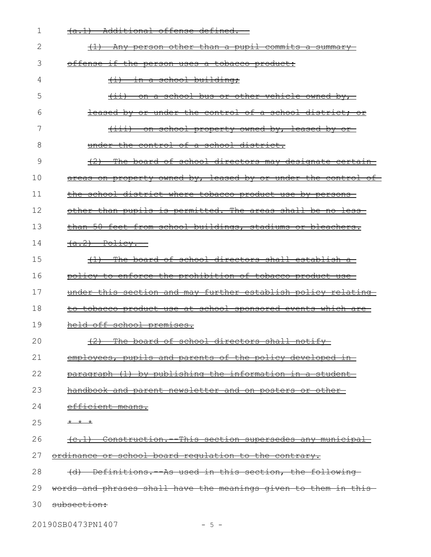| 1  | (a.1) Additional offense defined.--                                 |
|----|---------------------------------------------------------------------|
| 2  | (1) Any person other than a pupil commits a summary                 |
| 3  | offense if the person uses a tobacco product:                       |
| 4  | <del>in a school building;</del><br>$\overline{+1}$                 |
| 5  | $(i)$ on a school bus or other vehicle owned by,                    |
| 6  | leased by or under the control of a school district; or             |
| 7  | <u>(iii) on school property owned by, leased by or-</u>             |
| 8  | under the control of a school district.                             |
| 9  | (2) The board of school directors may designate certain             |
| 10 | areas on property owned by, leased by or under the control of       |
| 11 | the school district where tobacco product use by persons            |
| 12 | other than pupils is permitted. The areas shall be no less-         |
| 13 | than 50 feet from school buildings, stadiums or bleachers.          |
| 14 | $(a.2)$ Policy.                                                     |
| 15 | (1) The board of school directors shall establish a-                |
| 16 | policy to enforce the prohibition of tobacco product use            |
| 17 | under this section and may further establish policy relating        |
| 18 | <u>to tobacco product use at school sponsored events which are-</u> |
| 19 | held off school premises.                                           |
| 20 | (2) The board of school directors shall notify                      |
| 21 | employees, pupils and parents of the policy developed in-           |
| 22 | paragraph (1) by publishing the information in a student            |
| 23 | handbook and parent newsletter and on posters or other-             |
| 24 | efficient means.                                                    |
| 25 | * * *                                                               |
| 26 | (c.1) Construction. This section supersedes any municipal           |
| 27 | ordinance or school board requlation to the contrary.               |
| 28 | (d) Definitions. As used in this section, the following-            |
| 29 | words and phrases shall have the meanings given to them in this     |
| 30 | subsection:                                                         |
|    |                                                                     |

20190SB0473PN1407 - 5 -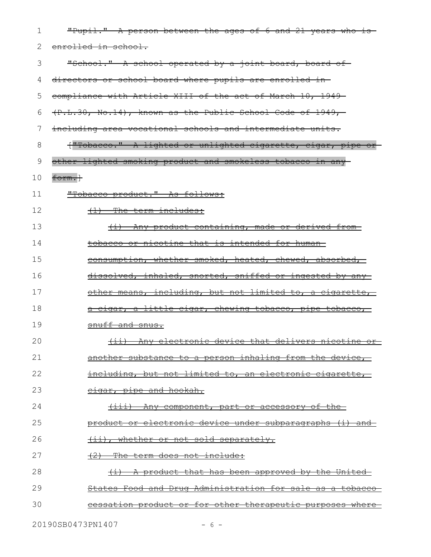| 1  | "Pupil." A person between the ages of 6 and 21 years who is-    |
|----|-----------------------------------------------------------------|
| 2  | enrolled in school.                                             |
| 3  | "School." A school operated by a joint board, board of          |
| 4  | directors or school board where pupils are enrolled in-         |
| 5  | compliance with Article XIII of the act of March 10, 1949-      |
| 6  | $(P.L.30, No.14)$ , known as the Public School Code of 1949,    |
| 7  | including area vocational schools and intermediate units.       |
| 8  | ["Tobacco." A lighted or unlighted cigarette, cigar, pipe or    |
| 9  | other lighted smoking product and smokeless tobacco in any      |
| 10 | form.}                                                          |
| 11 | "Tobacco product." As follows:                                  |
| 12 | $\{1\}$ The term includes:                                      |
| 13 | (i) Any product containing, made or derived from-               |
| 14 | tobacco or nicotine that is intended for human-                 |
| 15 | consumption, whether smoked, heated, chewed, absorbed,          |
| 16 | dissolved, inhaled, snorted, sniffed or ingested by any-        |
| 17 | other means, including, but not limited to, a cigarette,        |
| 18 | <u>a cigar, a little cigar, chewing tobacco, pipe tobacco, </u> |
| 19 | snuff and snus.                                                 |
| 20 | (ii) Any electronic device that delivers nicotine<br><u>or</u>  |
| 21 | another substance to a person inhaling from the device,         |
| 22 | including, but not limited to, an electronic cigarette,         |
| 23 | cigar, pipe and hookah.                                         |
| 24 | <u>(iii) Any component, part or accessory of the-</u>           |
| 25 | product or electronic device under subparagraphs (i) and        |
| 26 | (ii), whether or not sold separately.                           |
| 27 | (2) The term does not include:                                  |
| 28 | (i) A product that has been approved by the United              |
| 29 | States Food and Drug Administration for sale as a tobacco-      |
| 30 | cessation product or for other therapeutic purposes where       |
|    |                                                                 |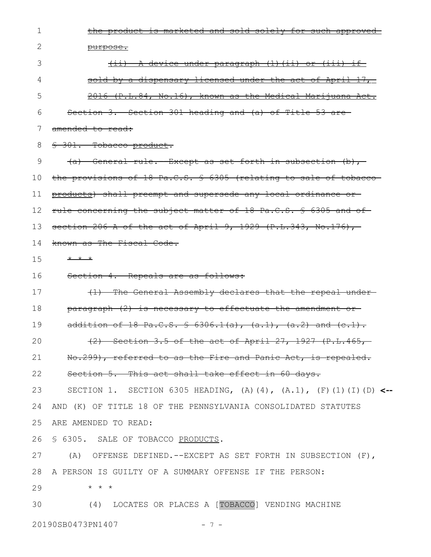the product is marketed and sold solely for such approved purpose. (ii) A device under paragraph (1)(ii) or (iii) if sold by a dispensary licensed under the act of April 17, 2016 (P.L.84, No.16), known as the Medical Marijuana Act. Section 3. Section 301 heading and (a) of Title 53 are amended to read: § 301. Tobacco product.  $(a)$  General rule. -Except as set forth in subsection  $(b)$ , the provisions of 18 Pa.C.S. § 6305 (relating to sale of tobacco products) shall preempt and supersede any local ordinance or rule concerning the subject matter of 18 Pa.C.S. § 6305 and of section 206-A of the act of April 9, 1929  $(P.L.343, No.176)$ , known as The Fiscal Code.  $* * *$ Section 4. Repeals are as follows: (1) The General Assembly declares that the repeal under paragraph (2) is necessary to effectuate the amendment or addition of 18 Pa.C.S. § 6306.1(a), (a.1), (a.2) and (c.1). (2) Section 3.5 of the act of April 27, 1927 (P.L.465, No.299), referred to as the Fire and Panic Act, is repealed. Section 5. This act shall take effect in 60 days. SECTION 1. SECTION 6305 HEADING, (A)(4), (A.1), (F)(1)(I)(D) **<--** AND (K) OF TITLE 18 OF THE PENNSYLVANIA CONSOLIDATED STATUTES ARE AMENDED TO READ: § 6305. SALE OF TOBACCO PRODUCTS. (A) OFFENSE DEFINED.--EXCEPT AS SET FORTH IN SUBSECTION (F), A PERSON IS GUILTY OF A SUMMARY OFFENSE IF THE PERSON: \* \* \* (4) LOCATES OR PLACES A [TOBACCO] VENDING MACHINE 20190SB0473PN1407 - 7 -1 2 3 4 5 6 7 8 9 10 11 12 13 14 15 16 17 18 19 20 21 22 23 24 25 26 27 28 29 30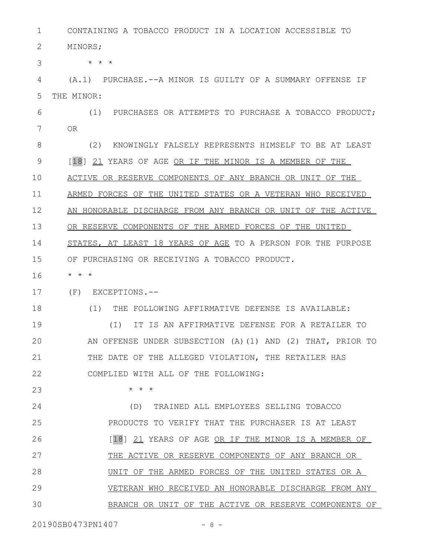CONTAINING A TOBACCO PRODUCT IN A LOCATION ACCESSIBLE TO 1

MINORS; 2

\* \* \* 3

(A.1) PURCHASE.--A MINOR IS GUILTY OF A SUMMARY OFFENSE IF THE MINOR: 4 5

(1) PURCHASES OR ATTEMPTS TO PURCHASE A TOBACCO PRODUCT; OR 6 7

(2) KNOWINGLY FALSELY REPRESENTS HIMSELF TO BE AT LEAST [18] 21 YEARS OF AGE OR IF THE MINOR IS A MEMBER OF THE ACTIVE OR RESERVE COMPONENTS OF ANY BRANCH OR UNIT OF THE ARMED FORCES OF THE UNITED STATES OR A VETERAN WHO RECEIVED AN HONORABLE DISCHARGE FROM ANY BRANCH OR UNIT OF THE ACTIVE OR RESERVE COMPONENTS OF THE ARMED FORCES OF THE UNITED STATES, AT LEAST 18 YEARS OF AGE TO A PERSON FOR THE PURPOSE OF PURCHASING OR RECEIVING A TOBACCO PRODUCT. 8 9 10 11 12 13 14 15

\* \* \* 16

18

23

(F) EXCEPTIONS.-- 17

(1) THE FOLLOWING AFFIRMATIVE DEFENSE IS AVAILABLE:

(I) IT IS AN AFFIRMATIVE DEFENSE FOR A RETAILER TO AN OFFENSE UNDER SUBSECTION (A)(1) AND (2) THAT, PRIOR TO THE DATE OF THE ALLEGED VIOLATION, THE RETAILER HAS COMPLIED WITH ALL OF THE FOLLOWING: 19 20 21 22

\* \* \*

(D) TRAINED ALL EMPLOYEES SELLING TOBACCO PRODUCTS TO VERIFY THAT THE PURCHASER IS AT LEAST [18] 21 YEARS OF AGE OR IF THE MINOR IS A MEMBER OF THE ACTIVE OR RESERVE COMPONENTS OF ANY BRANCH OR UNIT OF THE ARMED FORCES OF THE UNITED STATES OR A VETERAN WHO RECEIVED AN HONORABLE DISCHARGE FROM ANY BRANCH OR UNIT OF THE ACTIVE OR RESERVE COMPONENTS OF 24 25 26 27 28 29 30

20190SB0473PN1407 - 8 -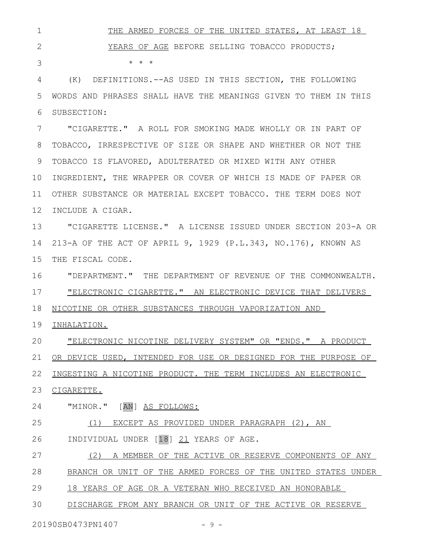THE ARMED FORCES OF THE UNITED STATES, AT LEAST 18 YEARS OF AGE BEFORE SELLING TOBACCO PRODUCTS;  $\star$   $\hspace{0.1cm} \star$   $\hspace{0.1cm} \star$ (K) DEFINITIONS.--AS USED IN THIS SECTION, THE FOLLOWING WORDS AND PHRASES SHALL HAVE THE MEANINGS GIVEN TO THEM IN THIS SUBSECTION: 1 2 3 4 5 6

"CIGARETTE." A ROLL FOR SMOKING MADE WHOLLY OR IN PART OF TOBACCO, IRRESPECTIVE OF SIZE OR SHAPE AND WHETHER OR NOT THE TOBACCO IS FLAVORED, ADULTERATED OR MIXED WITH ANY OTHER INGREDIENT, THE WRAPPER OR COVER OF WHICH IS MADE OF PAPER OR OTHER SUBSTANCE OR MATERIAL EXCEPT TOBACCO. THE TERM DOES NOT 12 INCLUDE A CIGAR. 7 8 9 10 11

"CIGARETTE LICENSE." A LICENSE ISSUED UNDER SECTION 203-A OR 213-A OF THE ACT OF APRIL 9, 1929 (P.L.343, NO.176), KNOWN AS THE FISCAL CODE. 13 14 15

"DEPARTMENT." THE DEPARTMENT OF REVENUE OF THE COMMONWEALTH. "ELECTRONIC CIGARETTE." AN ELECTRONIC DEVICE THAT DELIVERS NICOTINE OR OTHER SUBSTANCES THROUGH VAPORIZATION AND 16 17 18

INHALATION. 19

"ELECTRONIC NICOTINE DELIVERY SYSTEM" OR "ENDS." A PRODUCT OR DEVICE USED, INTENDED FOR USE OR DESIGNED FOR THE PURPOSE OF INGESTING A NICOTINE PRODUCT. THE TERM INCLUDES AN ELECTRONIC 23 CIGARETTE. 20 21 22

"MINOR." [AN] AS FOLLOWS: 24

(1) EXCEPT AS PROVIDED UNDER PARAGRAPH (2), AN INDIVIDUAL UNDER [18] 21 YEARS OF AGE. 25 26

(2) A MEMBER OF THE ACTIVE OR RESERVE COMPONENTS OF ANY 27

BRANCH OR UNIT OF THE ARMED FORCES OF THE UNITED STATES UNDER 28

18 YEARS OF AGE OR A VETERAN WHO RECEIVED AN HONORABLE 29

DISCHARGE FROM ANY BRANCH OR UNIT OF THE ACTIVE OR RESERVE 30

20190SB0473PN1407 - 9 -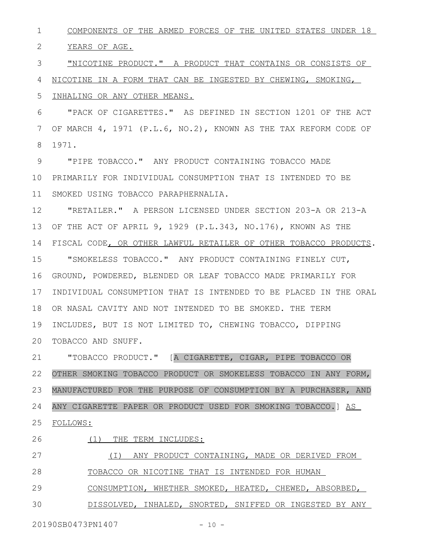COMPONENTS OF THE ARMED FORCES OF THE UNITED STATES UNDER 18 1

YEARS OF AGE. 2

"NICOTINE PRODUCT." A PRODUCT THAT CONTAINS OR CONSISTS OF NICOTINE IN A FORM THAT CAN BE INGESTED BY CHEWING, SMOKING, 3 4

INHALING OR ANY OTHER MEANS. 5

"PACK OF CIGARETTES." AS DEFINED IN SECTION 1201 OF THE ACT OF MARCH 4, 1971 (P.L.6, NO.2), KNOWN AS THE TAX REFORM CODE OF 1971. 6 7 8

"PIPE TOBACCO." ANY PRODUCT CONTAINING TOBACCO MADE 10 PRIMARILY FOR INDIVIDUAL CONSUMPTION THAT IS INTENDED TO BE SMOKED USING TOBACCO PARAPHERNALIA. 9 11

"RETAILER." A PERSON LICENSED UNDER SECTION 203-A OR 213-A OF THE ACT OF APRIL 9, 1929 (P.L.343, NO.176), KNOWN AS THE FISCAL CODE, OR OTHER LAWFUL RETAILER OF OTHER TOBACCO PRODUCTS. "SMOKELESS TOBACCO." ANY PRODUCT CONTAINING FINELY CUT, GROUND, POWDERED, BLENDED OR LEAF TOBACCO MADE PRIMARILY FOR INDIVIDUAL CONSUMPTION THAT IS INTENDED TO BE PLACED IN THE ORAL OR NASAL CAVITY AND NOT INTENDED TO BE SMOKED. THE TERM INCLUDES, BUT IS NOT LIMITED TO, CHEWING TOBACCO, DIPPING 20 TOBACCO AND SNUFF. 12 13 14 15 16 17 18 19

"TOBACCO PRODUCT." [A CIGARETTE, CIGAR, PIPE TOBACCO OR OTHER SMOKING TOBACCO PRODUCT OR SMOKELESS TOBACCO IN ANY FORM, MANUFACTURED FOR THE PURPOSE OF CONSUMPTION BY A PURCHASER, AND ANY CIGARETTE PAPER OR PRODUCT USED FOR SMOKING TOBACCO.] AS FOLLOWS: 21 22 23 24 25

26

(1) THE TERM INCLUDES:

(I) ANY PRODUCT CONTAINING, MADE OR DERIVED FROM TOBACCO OR NICOTINE THAT IS INTENDED FOR HUMAN 27 28

CONSUMPTION, WHETHER SMOKED, HEATED, CHEWED, ABSORBED, 29

DISSOLVED, INHALED, SNORTED, SNIFFED OR INGESTED BY ANY 30

20190SB0473PN1407 - 10 -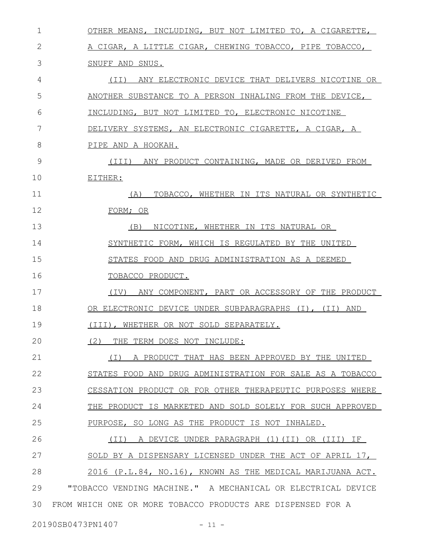| 1  | OTHER MEANS, INCLUDING, BUT NOT LIMITED TO, A CIGARETTE,     |
|----|--------------------------------------------------------------|
| 2  | A CIGAR, A LITTLE CIGAR, CHEWING TOBACCO, PIPE TOBACCO,      |
| 3  | SNUFF AND SNUS.                                              |
| 4  | (II) ANY ELECTRONIC DEVICE THAT DELIVERS NICOTINE OR         |
| 5  | ANOTHER SUBSTANCE TO A PERSON INHALING FROM THE DEVICE,      |
| 6  | INCLUDING, BUT NOT LIMITED TO, ELECTRONIC NICOTINE           |
| 7  | DELIVERY SYSTEMS, AN ELECTRONIC CIGARETTE, A CIGAR, A        |
| 8  | PIPE AND A HOOKAH.                                           |
| 9  | (III) ANY PRODUCT CONTAINING, MADE OR DERIVED FROM           |
| 10 | EITHER:                                                      |
| 11 | (A)<br>TOBACCO, WHETHER IN ITS NATURAL OR SYNTHETIC          |
| 12 | FORM; OR                                                     |
| 13 | (B)<br>NICOTINE, WHETHER IN ITS NATURAL OR                   |
| 14 | SYNTHETIC FORM, WHICH IS REGULATED BY THE UNITED             |
| 15 | STATES FOOD AND DRUG ADMINISTRATION AS A DEEMED              |
| 16 | TOBACCO PRODUCT.                                             |
| 17 | ANY COMPONENT, PART OR ACCESSORY OF THE PRODUCT<br>(TV)      |
| 18 | OR ELECTRONIC DEVICE UNDER SUBPARAGRAPHS (I), (II) AND       |
| 19 | (III), WHETHER OR NOT SOLD SEPARATELY.                       |
| 20 | THE TERM DOES NOT INCLUDE:<br>(2)                            |
| 21 | A PRODUCT THAT HAS BEEN APPROVED BY THE UNITED<br>$(\top)$   |
| 22 | STATES FOOD AND DRUG ADMINISTRATION FOR SALE AS A TOBACCO    |
| 23 | CESSATION PRODUCT OR FOR OTHER THERAPEUTIC PURPOSES WHERE    |
| 24 | THE PRODUCT IS MARKETED AND SOLD SOLELY FOR SUCH APPROVED    |
| 25 | PURPOSE, SO LONG AS THE PRODUCT IS NOT INHALED.              |
| 26 | A DEVICE UNDER PARAGRAPH (1)(II) OR (III) IF<br>(TI)         |
| 27 | SOLD BY A DISPENSARY LICENSED UNDER THE ACT OF APRIL 17,     |
| 28 | 2016 (P.L.84, NO.16), KNOWN AS THE MEDICAL MARIJUANA ACT.    |
| 29 | "TOBACCO VENDING MACHINE." A MECHANICAL OR ELECTRICAL DEVICE |
| 30 | FROM WHICH ONE OR MORE TOBACCO PRODUCTS ARE DISPENSED FOR A  |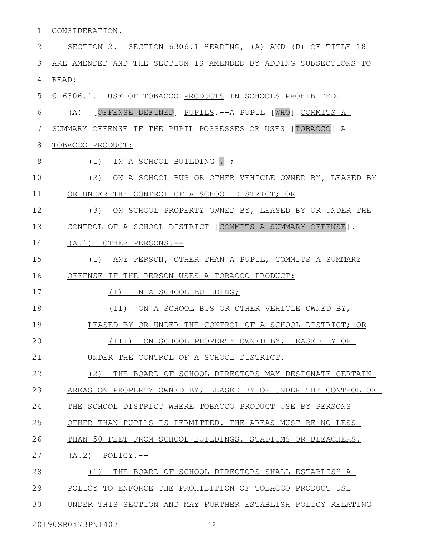CONSIDERATION. 1

SECTION 2. SECTION 6306.1 HEADING, (A) AND (D) OF TITLE 18 ARE AMENDED AND THE SECTION IS AMENDED BY ADDING SUBSECTIONS TO READ: 2 3 4

§ 6306.1. USE OF TOBACCO PRODUCTS IN SCHOOLS PROHIBITED. 5

(A) [OFFENSE DEFINED] PUPILS.--A PUPIL [WHO] COMMITS A 6

SUMMARY OFFENSE IF THE PUPIL POSSESSES OR USES [TOBACCO] A 7

TOBACCO PRODUCT: 8

- (1) IN A SCHOOL BUILDING[,]; 9
- (2) ON A SCHOOL BUS OR OTHER VEHICLE OWNED BY, LEASED BY OR UNDER THE CONTROL OF A SCHOOL DISTRICT; OR 10 11

(3) ON SCHOOL PROPERTY OWNED BY, LEASED BY OR UNDER THE CONTROL OF A SCHOOL DISTRICT [COMMITS A SUMMARY OFFENSE]. 12 13

(A.1) OTHER PERSONS.-- 14

 (1) ANY PERSON, OTHER THAN A PUPIL, COMMITS A SUMMARY OFFENSE IF THE PERSON USES A TOBACCO PRODUCT: 15 16

(I) IN A SCHOOL BUILDING; 17

(II) ON A SCHOOL BUS OR OTHER VEHICLE OWNED BY, 18

LEASED BY OR UNDER THE CONTROL OF A SCHOOL DISTRICT; OR 19

(III) ON SCHOOL PROPERTY OWNED BY, LEASED BY OR 20

UNDER THE CONTROL OF A SCHOOL DISTRICT. 21

(2) THE BOARD OF SCHOOL DIRECTORS MAY DESIGNATE CERTAIN AREAS ON PROPERTY OWNED BY, LEASED BY OR UNDER THE CONTROL OF 22 23

 THE SCHOOL DISTRICT WHERE TOBACCO PRODUCT USE BY PERSONS 24

OTHER THAN PUPILS IS PERMITTED. THE AREAS MUST BE NO LESS 25

THAN 50 FEET FROM SCHOOL BUILDINGS, STADIUMS OR BLEACHERS. 26

 $(A.2)$  POLICY.--27

(1) THE BOARD OF SCHOOL DIRECTORS SHALL ESTABLISH A 28

 POLICY TO ENFORCE THE PROHIBITION OF TOBACCO PRODUCT USE 29

UNDER THIS SECTION AND MAY FURTHER ESTABLISH POLICY RELATING 30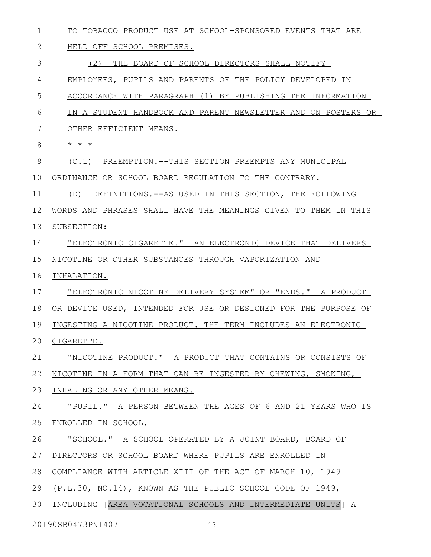TO TOBACCO PRODUCT USE AT SCHOOL-SPONSORED EVENTS THAT ARE 1

## HELD OFF SCHOOL PREMISES. 2

(2) THE BOARD OF SCHOOL DIRECTORS SHALL NOTIFY 3

EMPLOYEES, PUPILS AND PARENTS OF THE POLICY DEVELOPED IN 4

ACCORDANCE WITH PARAGRAPH (1) BY PUBLISHING THE INFORMATION 5

- IN A STUDENT HANDBOOK AND PARENT NEWSLETTER AND ON POSTERS OR 6
- OTHER EFFICIENT MEANS. 7
- \* \* \* 8

(C.1) PREEMPTION.--THIS SECTION PREEMPTS ANY MUNICIPAL 9

10 ORDINANCE OR SCHOOL BOARD REGULATION TO THE CONTRARY.

(D) DEFINITIONS.--AS USED IN THIS SECTION, THE FOLLOWING WORDS AND PHRASES SHALL HAVE THE MEANINGS GIVEN TO THEM IN THIS SUBSECTION: 11 12 13

"ELECTRONIC CIGARETTE." AN ELECTRONIC DEVICE THAT DELIVERS NICOTINE OR OTHER SUBSTANCES THROUGH VAPORIZATION AND 14 15

16 INHALATION.

"ELECTRONIC NICOTINE DELIVERY SYSTEM" OR "ENDS." A PRODUCT 17

OR DEVICE USED, INTENDED FOR USE OR DESIGNED FOR THE PURPOSE OF 18

INGESTING A NICOTINE PRODUCT. THE TERM INCLUDES AN ELECTRONIC 19

20 CIGARETTE.

"NICOTINE PRODUCT." A PRODUCT THAT CONTAINS OR CONSISTS OF 21

NICOTINE IN A FORM THAT CAN BE INGESTED BY CHEWING, SMOKING, 22

23 INHALING OR ANY OTHER MEANS.

"PUPIL." A PERSON BETWEEN THE AGES OF 6 AND 21 YEARS WHO IS ENROLLED IN SCHOOL. 24 25

"SCHOOL." A SCHOOL OPERATED BY A JOINT BOARD, BOARD OF DIRECTORS OR SCHOOL BOARD WHERE PUPILS ARE ENROLLED IN 27 COMPLIANCE WITH ARTICLE XIII OF THE ACT OF MARCH 10, 1949 28 (P.L.30, NO.14), KNOWN AS THE PUBLIC SCHOOL CODE OF 1949, 30 INCLUDING [AREA VOCATIONAL SCHOOLS AND INTERMEDIATE UNITS] A 26 29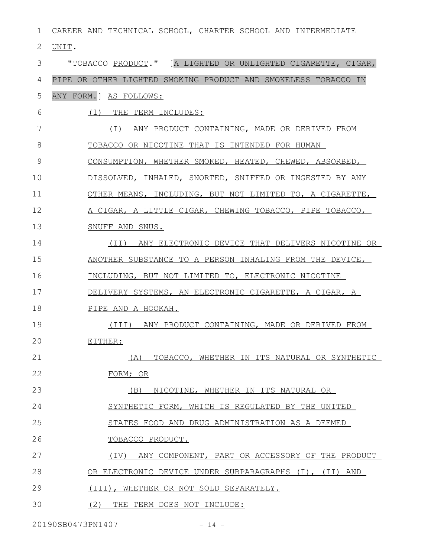| 1  | CAREER AND TECHNICAL SCHOOL, CHARTER SCHOOL AND INTERMEDIATE   |
|----|----------------------------------------------------------------|
| 2  | UNIT.                                                          |
| 3  | "TOBACCO PRODUCT." [A LIGHTED OR UNLIGHTED CIGARETTE, CIGAR,   |
| 4  | PIPE OR OTHER LIGHTED SMOKING PRODUCT AND SMOKELESS TOBACCO IN |
| 5  | ANY FORM. ] AS FOLLOWS:                                        |
| 6  | THE TERM INCLUDES:<br>(1)                                      |
| 7  | ( I )<br>ANY PRODUCT CONTAINING, MADE OR DERIVED FROM          |
| 8  | TOBACCO OR NICOTINE THAT IS INTENDED FOR HUMAN                 |
| 9  | CONSUMPTION, WHETHER SMOKED, HEATED, CHEWED, ABSORBED,         |
| 10 | DISSOLVED, INHALED, SNORTED, SNIFFED OR INGESTED BY ANY        |
| 11 | OTHER MEANS, INCLUDING, BUT NOT LIMITED TO, A CIGARETTE,       |
| 12 | A CIGAR, A LITTLE CIGAR, CHEWING TOBACCO, PIPE TOBACCO,        |
| 13 | SNUFF AND SNUS.                                                |
| 14 | (II) ANY ELECTRONIC DEVICE THAT DELIVERS NICOTINE OR           |
| 15 | ANOTHER SUBSTANCE TO A PERSON INHALING FROM THE DEVICE,        |
| 16 | INCLUDING, BUT NOT LIMITED TO, ELECTRONIC NICOTINE             |
| 17 | DELIVERY SYSTEMS, AN ELECTRONIC CIGARETTE, A CIGAR, A          |
| 18 | PIPE AND A HOOKAH.                                             |
| 19 | (III) ANY PRODUCT CONTAINING, MADE OR DERIVED FROM             |
| 20 | EITHER:                                                        |
| 21 | TOBACCO, WHETHER IN ITS NATURAL OR SYNTHETIC<br>(A)            |
| 22 | FORM; OR                                                       |
| 23 | (B)<br>NICOTINE, WHETHER IN ITS NATURAL OR                     |
| 24 | SYNTHETIC FORM, WHICH IS REGULATED BY THE UNITED               |
| 25 | STATES FOOD AND DRUG ADMINISTRATION AS A DEEMED                |
| 26 | TOBACCO PRODUCT.                                               |
| 27 | (IV)<br>ANY COMPONENT, PART OR ACCESSORY OF THE PRODUCT        |
| 28 | OR ELECTRONIC DEVICE UNDER SUBPARAGRAPHS (I), (II) AND         |
| 29 | (III), WHETHER OR NOT SOLD SEPARATELY.                         |
| 30 | (2)<br>THE TERM DOES NOT INCLUDE:                              |